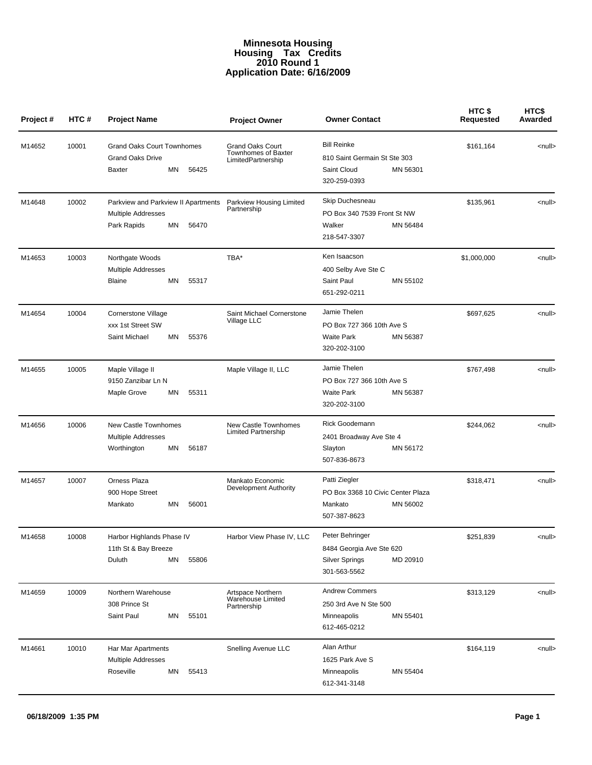## **Minnesota Housing Housing Tax Credits 2010 Round 1 Application Date: 6/16/2009**

| Project # | HTC#  | <b>Project Name</b>                                                                            | <b>Project Owner</b>                                                 | <b>Owner Contact</b>                                                                          | HTC \$<br>Requested | HTC\$<br>Awarded |
|-----------|-------|------------------------------------------------------------------------------------------------|----------------------------------------------------------------------|-----------------------------------------------------------------------------------------------|---------------------|------------------|
| M14652    | 10001 | <b>Grand Oaks Court Townhomes</b><br><b>Grand Oaks Drive</b><br>ΜN<br>56425<br>Baxter          | <b>Grand Oaks Court</b><br>Townhomes of Baxter<br>LimitedPartnership | <b>Bill Reinke</b><br>810 Saint Germain St Ste 303<br>MN 56301<br>Saint Cloud<br>320-259-0393 | \$161,164           | <null></null>    |
| M14648    | 10002 | Parkview and Parkview II Apartments<br><b>Multiple Addresses</b><br>ΜN<br>56470<br>Park Rapids | Parkview Housing Limited<br>Partnership                              | Skip Duchesneau<br>PO Box 340 7539 Front St NW<br>Walker<br>MN 56484<br>218-547-3307          | \$135,961           | <null></null>    |
| M14653    | 10003 | Northgate Woods<br>Multiple Addresses<br>55317<br>ΜN<br>Blaine                                 | TBA*                                                                 | Ken Isaacson<br>400 Selby Ave Ste C<br>Saint Paul<br>MN 55102<br>651-292-0211                 | \$1,000,000         | <null></null>    |
| M14654    | 10004 | Cornerstone Village<br>xxx 1st Street SW<br>Saint Michael<br>55376<br>ΜN                       | Saint Michael Cornerstone<br>Village LLC                             | Jamie Thelen<br>PO Box 727 366 10th Ave S<br><b>Waite Park</b><br>MN 56387<br>320-202-3100    | \$697,625           | <null></null>    |
| M14655    | 10005 | Maple Village II<br>9150 Zanzibar Ln N<br>Maple Grove<br>ΜN<br>55311                           | Maple Village II, LLC                                                | Jamie Thelen<br>PO Box 727 366 10th Ave S<br><b>Waite Park</b><br>MN 56387<br>320-202-3100    | \$767,498           | <null></null>    |
| M14656    | 10006 | New Castle Townhomes<br>Multiple Addresses<br>Worthington<br>56187<br>ΜN                       | New Castle Townhomes<br><b>Limited Partnership</b>                   | Rick Goodemann<br>2401 Broadway Ave Ste 4<br>MN 56172<br>Slayton<br>507-836-8673              | \$244,062           | <null></null>    |
| M14657    | 10007 | Orness Plaza<br>900 Hope Street<br>Mankato<br>ΜN<br>56001                                      | Mankato Economic<br>Development Authority                            | Patti Ziegler<br>PO Box 3368 10 Civic Center Plaza<br>MN 56002<br>Mankato<br>507-387-8623     | \$318,471           | <null></null>    |
| M14658    | 10008 | Harbor Highlands Phase IV<br>11th St & Bay Breeze<br>Duluth<br>ΜN<br>55806                     | Harbor View Phase IV, LLC                                            | Peter Behringer<br>8484 Georgia Ave Ste 620<br>Silver Springs<br>MD 20910<br>301-563-5562     | \$251,839           | <null></null>    |
| M14659    | 10009 | Northern Warehouse<br>308 Prince St<br>Saint Paul<br>55101<br>ΜN                               | Artspace Northern<br>Warehouse Limited<br>Partnership                | <b>Andrew Commers</b><br>250 3rd Ave N Ste 500<br>MN 55401<br>Minneapolis<br>612-465-0212     | \$313,129           | <null></null>    |
| M14661    | 10010 | Har Mar Apartments<br><b>Multiple Addresses</b><br>Roseville<br>ΜN<br>55413                    | Snelling Avenue LLC                                                  | Alan Arthur<br>1625 Park Ave S<br>Minneapolis<br>MN 55404<br>612-341-3148                     | \$164,119           | <null></null>    |